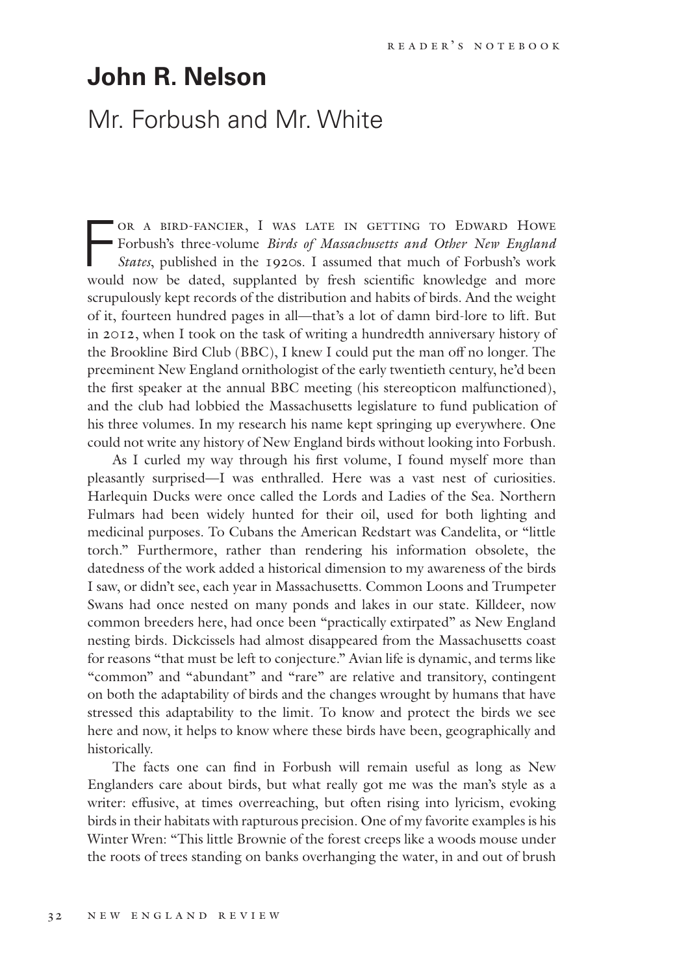## **John R. Nelson**

## Mr. Forbush and Mr. White

OR A BIRD-FANCIER, I WAS LATE IN GETTING TO EDWARD HOWE<br>Forbush's three-volume *Birds of Massachusetts and Other New England*<br>*States*, published in the 1920s. I assumed that much of Forbush's work<br>would now be dated sympl Forbush's three-volume *Birds of Massachusetts and Other New England States*, published in the 1920s. I assumed that much of Forbush's work would now be dated, supplanted by fresh scientific knowledge and more scrupulously kept records of the distribution and habits of birds. And the weight of it, fourteen hundred pages in all—that's a lot of damn bird-lore to lift. But in 2012, when I took on the task of writing a hundredth anniversary history of the Brookline Bird Club (BBC), I knew I could put the man off no longer. The preeminent New England ornithologist of the early twentieth century, he'd been the first speaker at the annual BBC meeting (his stereopticon malfunctioned), and the club had lobbied the Massachusetts legislature to fund publication of his three volumes. In my research his name kept springing up everywhere. One could not write any history of New England birds without looking into Forbush.

As I curled my way through his first volume, I found myself more than pleasantly surprised—I was enthralled. Here was a vast nest of curiosities. Harlequin Ducks were once called the Lords and Ladies of the Sea. Northern Fulmars had been widely hunted for their oil, used for both lighting and medicinal purposes. To Cubans the American Redstart was Candelita, or "little torch." Furthermore, rather than rendering his information obsolete, the datedness of the work added a historical dimension to my awareness of the birds I saw, or didn't see, each year in Massachusetts. Common Loons and Trumpeter Swans had once nested on many ponds and lakes in our state. Killdeer, now common breeders here, had once been "practically extirpated" as New England nesting birds. Dickcissels had almost disappeared from the Massachusetts coast for reasons "that must be left to conjecture." Avian life is dynamic, and terms like "common" and "abundant" and "rare" are relative and transitory, contingent on both the adaptability of birds and the changes wrought by humans that have stressed this adaptability to the limit. To know and protect the birds we see here and now, it helps to know where these birds have been, geographically and historically.

The facts one can find in Forbush will remain useful as long as New Englanders care about birds, but what really got me was the man's style as a writer: effusive, at times overreaching, but often rising into lyricism, evoking birds in their habitats with rapturous precision. One of my favorite examples is his Winter Wren: "This little Brownie of the forest creeps like a woods mouse under the roots of trees standing on banks overhanging the water, in and out of brush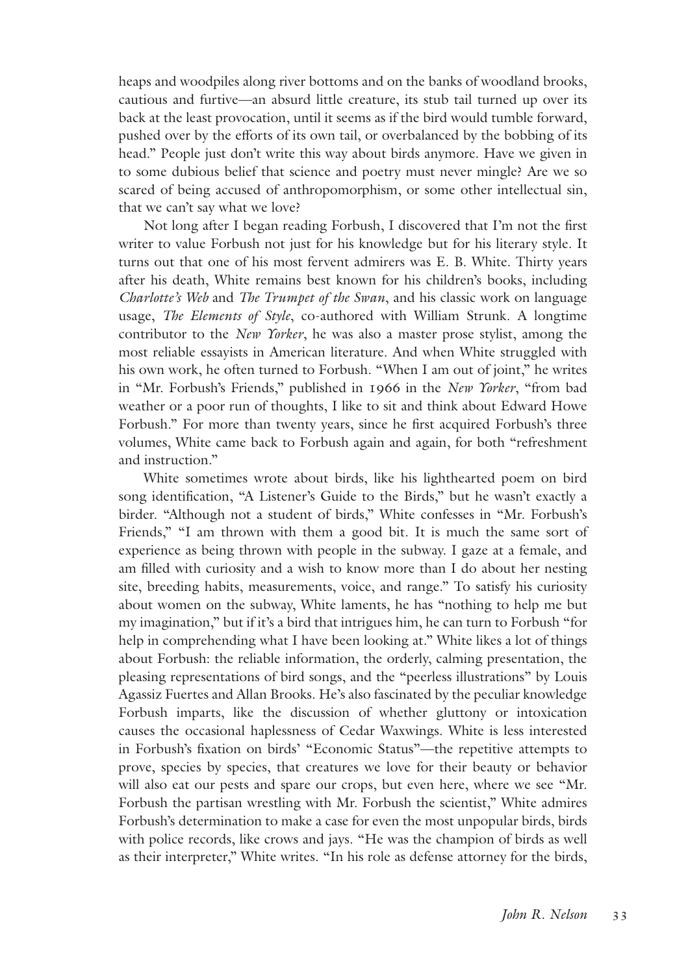heaps and woodpiles along river bottoms and on the banks of woodland brooks, cautious and furtive—an absurd little creature, its stub tail turned up over its back at the least provocation, until it seems as if the bird would tumble forward, pushed over by the efforts of its own tail, or overbalanced by the bobbing of its head." People just don't write this way about birds anymore. Have we given in to some dubious belief that science and poetry must never mingle? Are we so scared of being accused of anthropomorphism, or some other intellectual sin, that we can't say what we love?

Not long after I began reading Forbush, I discovered that I'm not the first writer to value Forbush not just for his knowledge but for his literary style. It turns out that one of his most fervent admirers was E. B. White. Thirty years after his death, White remains best known for his children's books, including *Charlotte's Web* and *The Trumpet of the Swan*, and his classic work on language usage, *The Elements of Style*, co-authored with William Strunk. A longtime contributor to the *New Yorker*, he was also a master prose stylist, among the most reliable essayists in American literature. And when White struggled with his own work, he often turned to Forbush. "When I am out of joint," he writes in "Mr. Forbush's Friends," published in 1966 in the *New Yorker*, "from bad weather or a poor run of thoughts, I like to sit and think about Edward Howe Forbush." For more than twenty years, since he first acquired Forbush's three volumes, White came back to Forbush again and again, for both "refreshment and instruction."

White sometimes wrote about birds, like his lighthearted poem on bird song identification, "A Listener's Guide to the Birds," but he wasn't exactly a birder. "Although not a student of birds," White confesses in "Mr. Forbush's Friends," "I am thrown with them a good bit. It is much the same sort of experience as being thrown with people in the subway. I gaze at a female, and am filled with curiosity and a wish to know more than I do about her nesting site, breeding habits, measurements, voice, and range." To satisfy his curiosity about women on the subway, White laments, he has "nothing to help me but my imagination," but if it's a bird that intrigues him, he can turn to Forbush "for help in comprehending what I have been looking at." White likes a lot of things about Forbush: the reliable information, the orderly, calming presentation, the pleasing representations of bird songs, and the "peerless illustrations" by Louis Agassiz Fuertes and Allan Brooks. He's also fascinated by the peculiar knowledge Forbush imparts, like the discussion of whether gluttony or intoxication causes the occasional haplessness of Cedar Waxwings. White is less interested in Forbush's fixation on birds' "Economic Status"—the repetitive attempts to prove, species by species, that creatures we love for their beauty or behavior will also eat our pests and spare our crops, but even here, where we see "Mr. Forbush the partisan wrestling with Mr. Forbush the scientist," White admires Forbush's determination to make a case for even the most unpopular birds, birds with police records, like crows and jays. "He was the champion of birds as well as their interpreter," White writes. "In his role as defense attorney for the birds,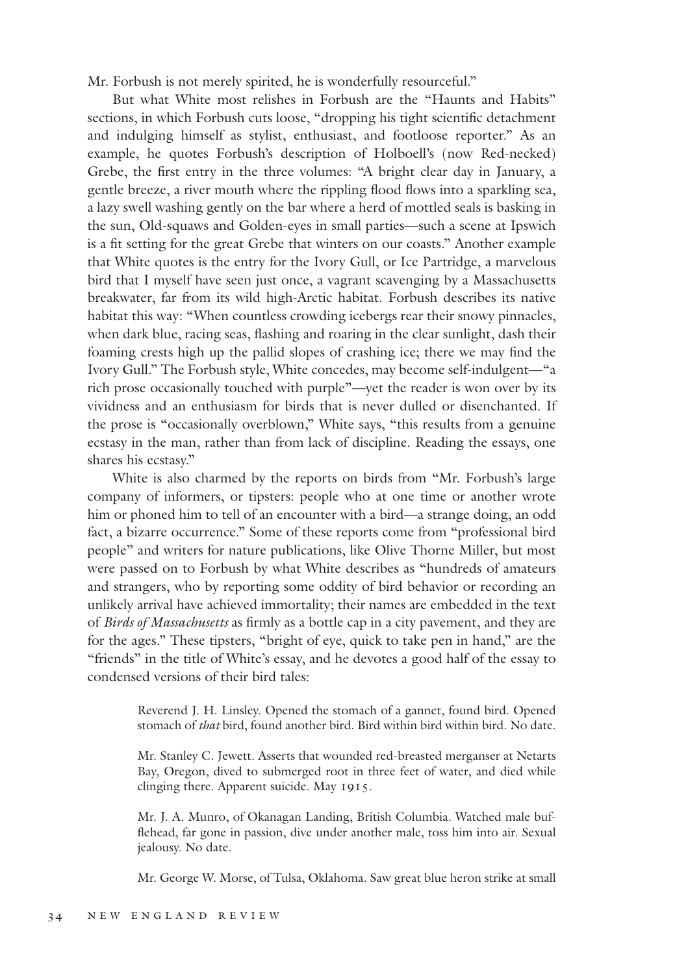Mr. Forbush is not merely spirited, he is wonderfully resourceful."

But what White most relishes in Forbush are the "Haunts and Habits" sections, in which Forbush cuts loose, "dropping his tight scientific detachment and indulging himself as stylist, enthusiast, and footloose reporter." As an example, he quotes Forbush's description of Holboell's (now Red-necked) Grebe, the first entry in the three volumes: "A bright clear day in January, a gentle breeze, a river mouth where the rippling flood flows into a sparkling sea, a lazy swell washing gently on the bar where a herd of mottled seals is basking in the sun, Old-squaws and Golden-eyes in small parties—such a scene at Ipswich is a fit setting for the great Grebe that winters on our coasts." Another example that White quotes is the entry for the Ivory Gull, or Ice Partridge, a marvelous bird that I myself have seen just once, a vagrant scavenging by a Massachusetts breakwater, far from its wild high-Arctic habitat. Forbush describes its native habitat this way: "When countless crowding icebergs rear their snowy pinnacles, when dark blue, racing seas, flashing and roaring in the clear sunlight, dash their foaming crests high up the pallid slopes of crashing ice; there we may find the Ivory Gull." The Forbush style, White concedes, may become self-indulgent—"a rich prose occasionally touched with purple"—yet the reader is won over by its vividness and an enthusiasm for birds that is never dulled or disenchanted. If the prose is "occasionally overblown," White says, "this results from a genuine ecstasy in the man, rather than from lack of discipline. Reading the essays, one shares his ecstasy."

White is also charmed by the reports on birds from "Mr. Forbush's large company of informers, or tipsters: people who at one time or another wrote him or phoned him to tell of an encounter with a bird—a strange doing, an odd fact, a bizarre occurrence." Some of these reports come from "professional bird people" and writers for nature publications, like Olive Thorne Miller, but most were passed on to Forbush by what White describes as "hundreds of amateurs and strangers, who by reporting some oddity of bird behavior or recording an unlikely arrival have achieved immortality; their names are embedded in the text of *Birds of Massachusetts* as firmly as a bottle cap in a city pavement, and they are for the ages." These tipsters, "bright of eye, quick to take pen in hand," are the "friends" in the title of White's essay, and he devotes a good half of the essay to condensed versions of their bird tales:

> Reverend J. H. Linsley. Opened the stomach of a gannet, found bird. Opened stomach of *that* bird, found another bird. Bird within bird within bird. No date.

> Mr. Stanley C. Jewett. Asserts that wounded red-breasted merganser at Netarts Bay, Oregon, dived to submerged root in three feet of water, and died while clinging there. Apparent suicide. May 1915.

> Mr. J. A. Munro, of Okanagan Landing, British Columbia. Watched male bufflehead, far gone in passion, dive under another male, toss him into air. Sexual jealousy. No date.

> Mr. George W. Morse, of Tulsa, Oklahoma. Saw great blue heron strike at small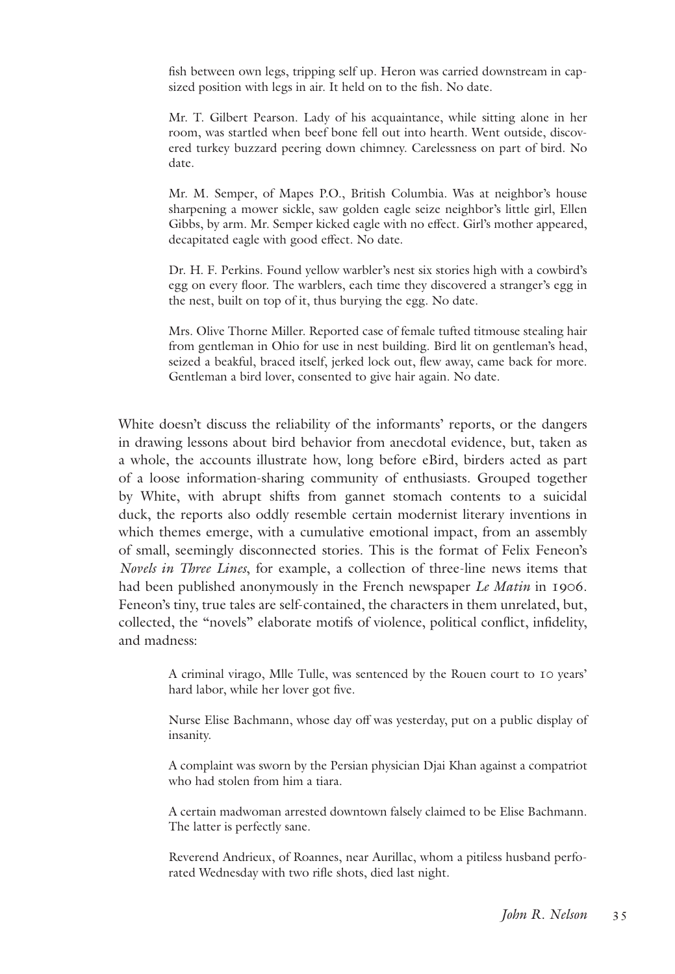fish between own legs, tripping self up. Heron was carried downstream in capsized position with legs in air. It held on to the fish. No date.

Mr. T. Gilbert Pearson. Lady of his acquaintance, while sitting alone in her room, was startled when beef bone fell out into hearth. Went outside, discovered turkey buzzard peering down chimney. Carelessness on part of bird. No date.

Mr. M. Semper, of Mapes P.O., British Columbia. Was at neighbor's house sharpening a mower sickle, saw golden eagle seize neighbor's little girl, Ellen Gibbs, by arm. Mr. Semper kicked eagle with no effect. Girl's mother appeared, decapitated eagle with good effect. No date.

Dr. H. F. Perkins. Found yellow warbler's nest six stories high with a cowbird's egg on every floor. The warblers, each time they discovered a stranger's egg in the nest, built on top of it, thus burying the egg. No date.

Mrs. Olive Thorne Miller. Reported case of female tufted titmouse stealing hair from gentleman in Ohio for use in nest building. Bird lit on gentleman's head, seized a beakful, braced itself, jerked lock out, flew away, came back for more. Gentleman a bird lover, consented to give hair again. No date.

White doesn't discuss the reliability of the informants' reports, or the dangers in drawing lessons about bird behavior from anecdotal evidence, but, taken as a whole, the accounts illustrate how, long before eBird, birders acted as part of a loose information-sharing community of enthusiasts. Grouped together by White, with abrupt shifts from gannet stomach contents to a suicidal duck, the reports also oddly resemble certain modernist literary inventions in which themes emerge, with a cumulative emotional impact, from an assembly of small, seemingly disconnected stories. This is the format of Felix Feneon's *Novels in Three Lines*, for example, a collection of three-line news items that had been published anonymously in the French newspaper *Le Matin* in 1906. Feneon's tiny, true tales are self-contained, the characters in them unrelated, but, collected, the "novels" elaborate motifs of violence, political conflict, infidelity, and madness:

> A criminal virago, Mlle Tulle, was sentenced by the Rouen court to 10 years' hard labor, while her lover got five.

> Nurse Elise Bachmann, whose day off was yesterday, put on a public display of insanity.

> A complaint was sworn by the Persian physician Djai Khan against a compatriot who had stolen from him a tiara.

> A certain madwoman arrested downtown falsely claimed to be Elise Bachmann. The latter is perfectly sane.

> Reverend Andrieux, of Roannes, near Aurillac, whom a pitiless husband perforated Wednesday with two rifle shots, died last night.